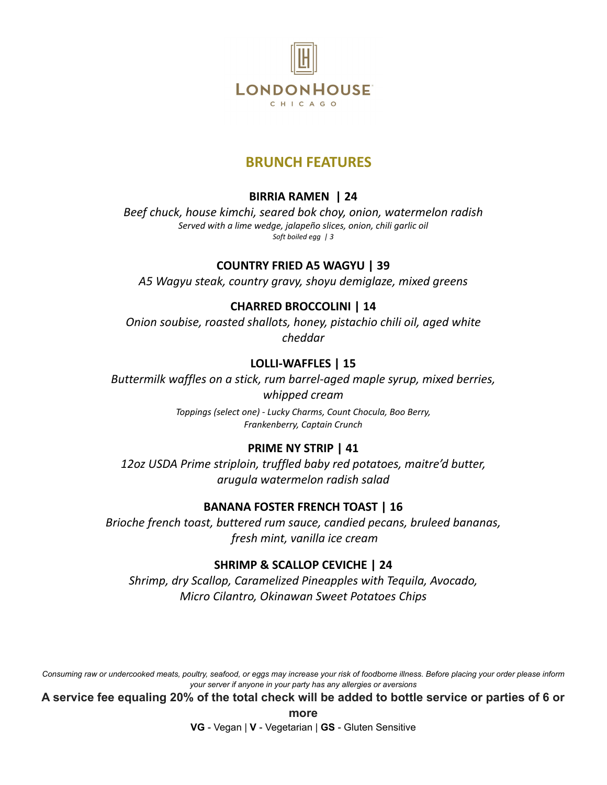

#### **BRUNCH FEATURES**

#### **BIRRIA RAMEN | 24**

*Beef chuck, house kimchi, seared bok choy, onion, watermelon radish Served with a lime wedge, jalapeño slices, onion, chili garlic oil Soft boiled egg | 3*

#### **COUNTRY FRIED A5 WAGYU | 39**

*A5 Wagyu steak, country gravy, shoyu demiglaze, mixed greens*

#### **CHARRED BROCCOLINI | 14**

*Onion soubise, roasted shallots, honey, pistachio chili oil, aged white cheddar*

#### **LOLLI-WAFFLES | 15**

*Buttermilk waffles on a stick, rum barrel-aged maple syrup, mixed berries, whipped cream*

> *Toppings (select one) - Lucky Charms, Count Chocula, Boo Berry, Frankenberry, Captain Crunch*

#### **PRIME NY STRIP | 41**

*12oz USDA Prime striploin, truffled baby red potatoes, maitre'd butter, arugula watermelon radish salad*

#### **BANANA FOSTER FRENCH TOAST | 16**

*Brioche french toast, buttered rum sauce, candied pecans, bruleed bananas, fresh mint, vanilla ice cream*

#### **SHRIMP & SCALLOP CEVICHE | 24**

*Shrimp, dry Scallop, Caramelized Pineapples with Tequila, Avocado, Micro Cilantro, Okinawan Sweet Potatoes Chips*

Consuming raw or undercooked meats, poultry, seafood, or eggs may increase your risk of foodborne illness. Before placing your order please inform *your server if anyone in your party has any allergies or aversions*

**A service fee equaling 20% of the total check will be added to bottle service or parties of 6 or**

**more**

**VG** - Vegan | **V** - Vegetarian | **GS** - Gluten Sensitive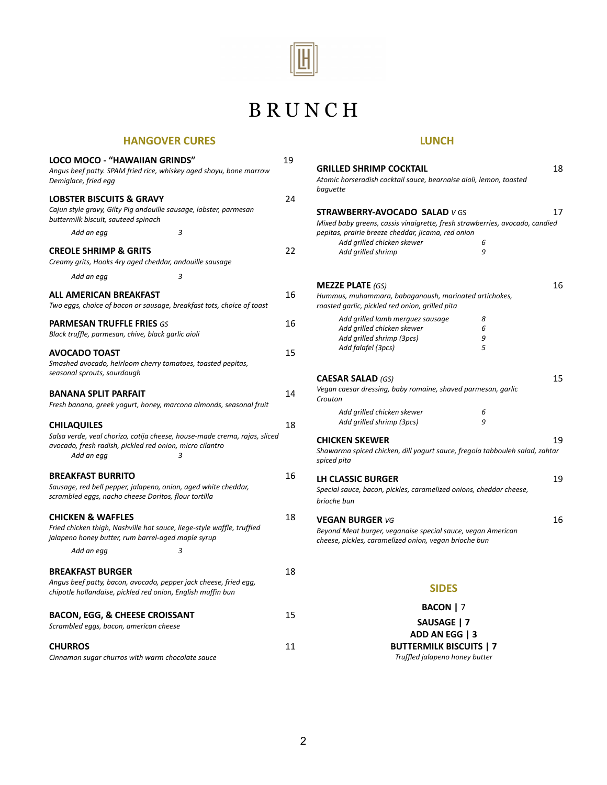

# B R U N C H

#### **HANGOVER CURES**

| LOCO MOCO - "HAWAIIAN GRINDS"<br>Angus beef patty. SPAM fried rice, whiskey aged shoyu, bone marrow<br>Demiglace, fried egg                                                    | 19 |
|--------------------------------------------------------------------------------------------------------------------------------------------------------------------------------|----|
| <b>LOBSTER BISCUITS &amp; GRAVY</b><br>Cajun style gravy, Gilty Pig andouille sausage, lobster, parmesan<br>buttermilk biscuit, sauteed spinach                                | 24 |
| 3<br>Add an egg                                                                                                                                                                |    |
| <b>CREOLE SHRIMP &amp; GRITS</b><br>Creamy grits, Hooks 4ry aged cheddar, andouille sausage                                                                                    | 22 |
| 3<br>Add an egg                                                                                                                                                                |    |
| ALL AMERICAN BREAKFAST<br>Two eggs, choice of bacon or sausage, breakfast tots, choice of toast                                                                                | 16 |
| <b>PARMESAN TRUFFLE FRIES GS</b><br>Black truffle, parmesan, chive, black garlic aioli                                                                                         | 16 |
| <b>AVOCADO TOAST</b><br>Smashed avocado, heirloom cherry tomatoes, toasted pepitas,<br>seasonal sprouts, sourdough                                                             | 15 |
| <b>BANANA SPLIT PARFAIT</b><br>Fresh banana, greek yogurt, honey, marcona almonds, seasonal fruit                                                                              | 14 |
| <b>CHILAQUILES</b><br>Salsa verde, veal chorizo, cotija cheese, house-made crema, rajas, sliced<br>avocado, fresh radish, pickled red onion, micro cilantro<br>Add an egg<br>3 | 18 |
| <b>BREAKFAST BURRITO</b><br>Sausage, red bell pepper, jalapeno, onion, aged white cheddar,<br>scrambled eggs, nacho cheese Doritos, flour tortilla                             | 16 |
| <b>CHICKEN &amp; WAFFLES</b><br>Fried chicken thigh, Nashville hot sauce, liege-style waffle, truffled<br>jalapeno honey butter, rum barrel-aged maple syrup                   | 18 |
| 3<br>Add an egg                                                                                                                                                                |    |
| <b>BREAKFAST BURGER</b><br>Angus beef patty, bacon, avocado, pepper jack cheese, fried egg,<br>chipotle hollandaise, pickled red onion, English muffin bun                     | 18 |
| <b>BACON, EGG, &amp; CHEESE CROISSANT</b><br>Scrambled eggs, bacon, american cheese                                                                                            | 15 |
| <b>CHURROS</b><br>Cinnamon sugar churros with warm chocolate sauce                                                                                                             | 11 |

#### **LUNCH**

| <b>GRILLED SHRIMP COCKTAIL</b><br>Atomic horseradish cocktail sauce, bearnaise aioli, lemon, toasted<br>baquette                                                                                                                                         |                  | 18 |
|----------------------------------------------------------------------------------------------------------------------------------------------------------------------------------------------------------------------------------------------------------|------------------|----|
| <b>STRAWBERRY-AVOCADO SALAD v GS</b><br>Mixed baby greens, cassis vinaigrette, fresh strawberries, avocado, candied<br>pepitas, prairie breeze cheddar, jicama, red onion<br>Add grilled chicken skewer<br>Add grilled shrimp                            | 6<br>9           | 17 |
| <b>MEZZE PLATE (GS)</b><br>Hummus, muhammara, babaganoush, marinated artichokes,<br>roasted garlic, pickled red onion, grilled pita<br>Add grilled lamb merguez sausage<br>Add grilled chicken skewer<br>Add grilled shrimp (3pcs)<br>Add falafel (3pcs) | 8<br>6<br>9<br>5 | 16 |
| <b>CAESAR SALAD (GS)</b><br>Vegan caesar dressing, baby romaine, shaved parmesan, garlic<br>Crouton<br>Add grilled chicken skewer<br>Add grilled shrimp (3pcs)                                                                                           | 6<br>9           | 15 |
| <b>CHICKEN SKEWER</b><br>Shawarma spiced chicken, dill yogurt sauce, fregola tabbouleh salad, zahtar<br>spiced pita                                                                                                                                      |                  | 19 |
| LH CLASSIC BURGER<br>Special sauce, bacon, pickles, caramelized onions, cheddar cheese,<br>brioche bun                                                                                                                                                   |                  | 19 |
| <b>VEGAN BURGER VG</b><br>Beyond Meat burger, veganaise special sauce, vegan American<br>cheese, pickles, caramelized onion, vegan brioche bun                                                                                                           |                  | 16 |
| <b>SIDES</b>                                                                                                                                                                                                                                             |                  |    |

#### **BACON |** 7 **SAUSAGE | 7 ADD AN EGG | 3 BUTTERMILK BISCUITS | 7** *Truffled jalapeno honey butter*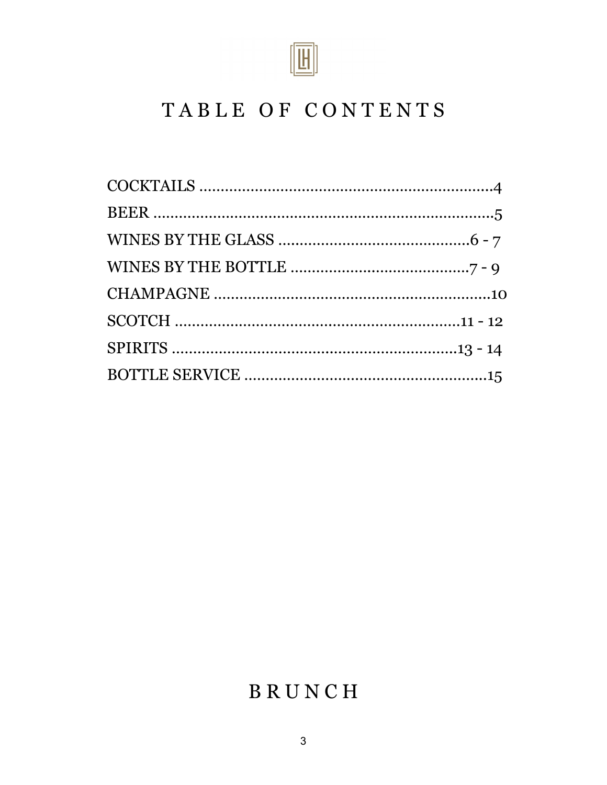

# TABLE OF CONTENTS

# B R U N C H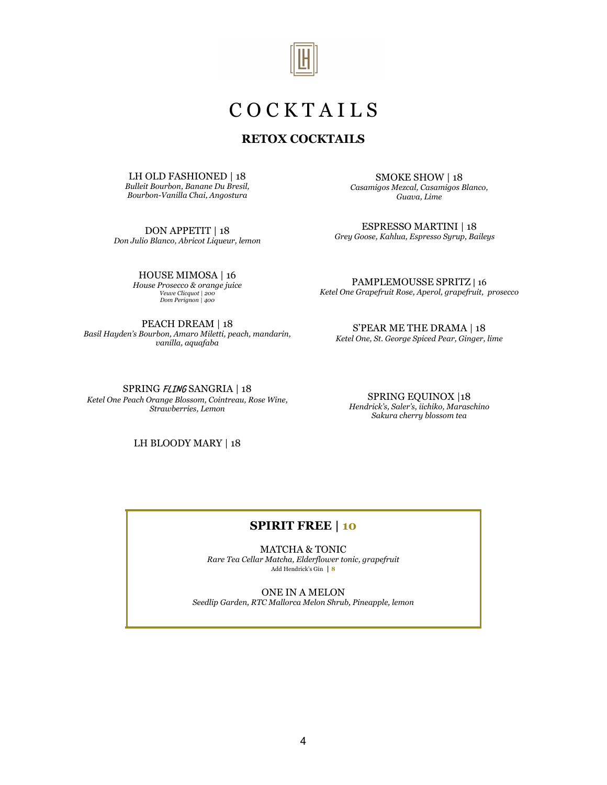

## C O C K T A I L S

#### **RETOX COCKTAILS**

LH OLD FASHIONED | 18 *Bulleit Bourbon, Banane Du Bresil, Bourbon-Vanilla Chai, Angostura*

DON APPETIT | 18 *Don Julio Blanco, Abricot Liqueur, lemon*

> HOUSE MIMOSA | 16 *House Prosecco & orange juice Veuve Clicquot | 200 Dom Perignon | 400*

PEACH DREAM | 18 *Basil Hayden's Bourbon, Amaro Miletti, peach, mandarin, vanilla, aquafaba*

SMOKE SHOW | 18 *Casamigos Mezcal, Casamigos Blanco, Guava, Lime*

ESPRESSO MARTINI | 18 *Grey Goose, Kahlua, Espresso Syrup, Baileys*

PAMPLEMOUSSE SPRITZ | 16 *Ketel One Grapefruit Rose, Aperol, grapefruit, prosecco*

S'PEAR ME THE DRAMA | 18 *Ketel One, St. George Spiced Pear, Ginger, lime*

SPRING **FLING** SANGRIA | 18 *Ketel One Peach Orange Blossom, Cointreau, Rose Wine, Strawberries, Lemon*

SPRING EQUINOX |18 *Hendrick's, Saler's, iichiko, Maraschino Sakura cherry blossom tea*

LH BLOODY MARY | 18

#### **SPIRIT FREE | 10**

MATCHA & TONIC *Rare Tea Cellar Matcha, Elderflower tonic, grapefruit* Add Hendrick's Gin **| 8**

ONE IN A MELON

*Seedlip Garden, RTC Mallorca Melon Shrub, Pineapple, lemon*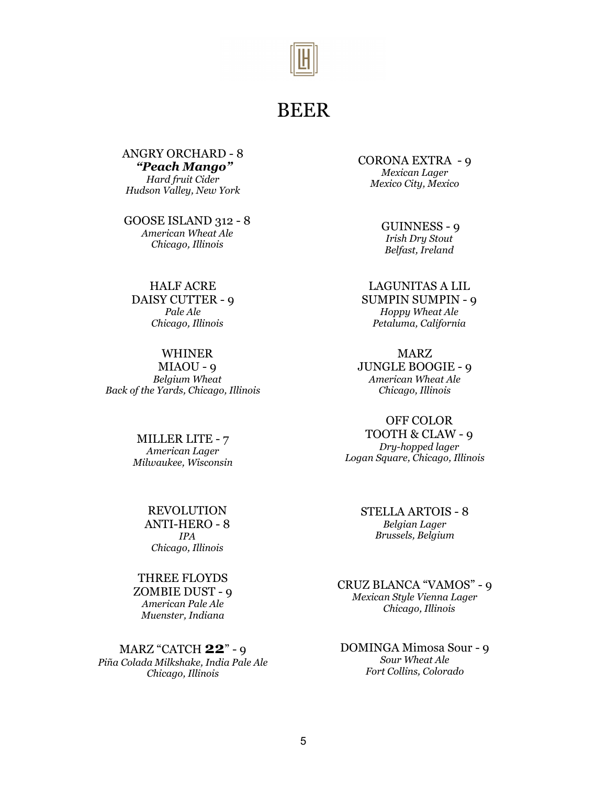

## BEER

ANGRY ORCHARD - 8 *"Peach Mango" Hard fruit Cider Hudson Valley, New York*

GOOSE ISLAND 312 - 8 *American Wheat Ale Chicago, Illinois*

HALF ACRE DAISY CUTTER - 9 *Pale Ale Chicago, Illinois*

WHINER MIAOU - 9 *Belgium Wheat Back of the Yards, Chicago, Illinois*

> MILLER LITE - 7 *American Lager Milwaukee, Wisconsin*

> > REVOLUTION ANTI-HERO - 8 *IPA Chicago, Illinois*

THREE FLOYDS ZOMBIE DUST - 9 *American Pale Ale Muenster, Indiana*

MARZ "CATCH **22**" - 9 *Piña Colada Milkshake, India Pale Ale Chicago, Illinois*

CORONA EXTRA - 9 *Mexican Lager Mexico City, Mexico*

> GUINNESS - 9 *Irish Dry Stout Belfast, Ireland*

LAGUNITAS A LIL SUMPIN SUMPIN - 9 *Hoppy Wheat Ale Petaluma, California*

MARZ JUNGLE BOOGIE - 9 *American Wheat Ale Chicago, Illinois*

OFF COLOR TOOTH & CLAW - 9 *Dry-hopped lager Logan Square, Chicago, Illinois*

> STELLA ARTOIS - 8 *Belgian Lager Brussels, Belgium*

CRUZ BLANCA "VAMOS" - 9 *Mexican Style Vienna Lager Chicago, Illinois*

DOMINGA Mimosa Sour - 9 *Sour Wheat Ale Fort Collins, Colorado*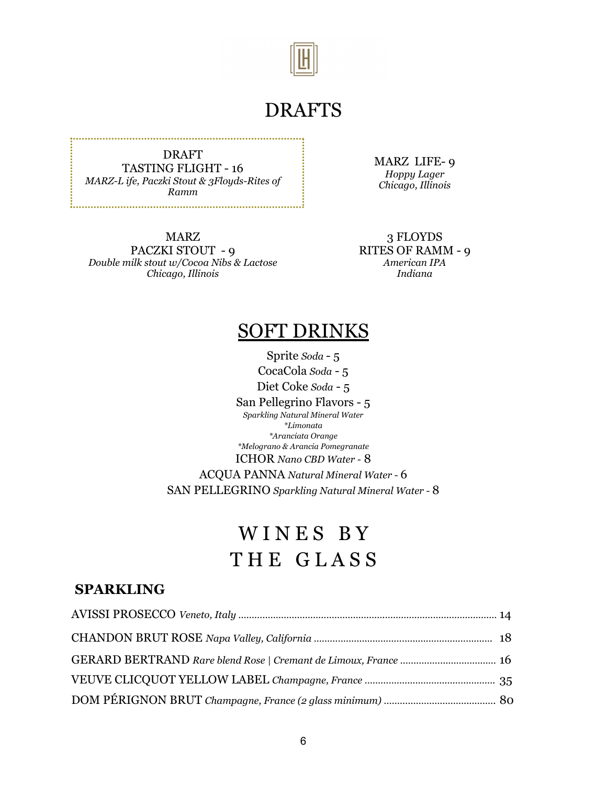

## DRAFTS

DRAFT TASTING FLIGHT - 16 *MARZ-L ife, Paczki Stout & 3Floyds-Rites of Ramm*

MARZ PACZKI STOUT - 9 *Double milk stout w/Cocoa Nibs & Lactose Chicago, Illinois*

MARZ LIFE- 9 *Hoppy Lager Chicago, Illinois*

3 FLOYDS RITES OF RAMM - 9 *American IPA Indiana*

## SOFT DRINKS

Sprite *Soda* - 5 CocaCola *Soda* - 5 Diet Coke *Soda* - 5 San Pellegrino Flavors - 5 *Sparkling Natural Mineral Water \*Limonata \*Aranciata Orange \*Melograno & Arancia Pomegranate* ICHOR *Nano CBD Water -* 8 ACQUA PANNA *Natural Mineral Water -* 6 SAN PELLEGRINO *Sparkling Natural Mineral Water -* 8

# WINES BY THE GLASS

#### **SPARKLING**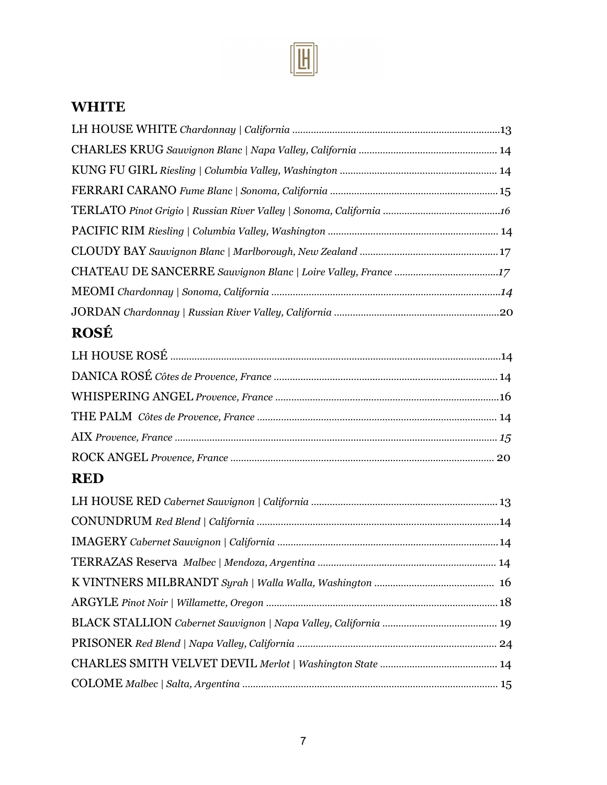

## **WHITE**

| <b>ROSÉ</b> |  |
|-------------|--|
|             |  |
|             |  |
|             |  |
|             |  |
|             |  |
|             |  |
| <b>RED</b>  |  |
|             |  |
|             |  |
|             |  |
|             |  |
|             |  |
|             |  |
|             |  |
|             |  |
|             |  |
|             |  |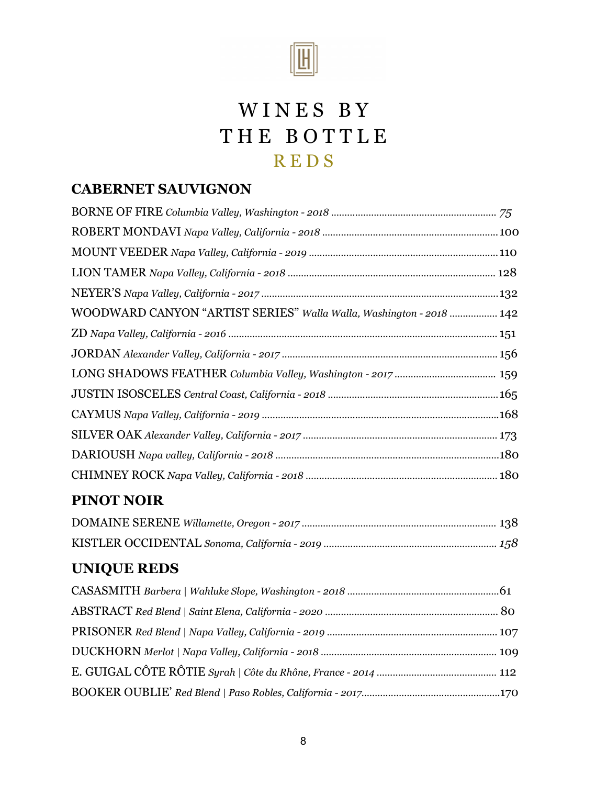

# WINES BY THE BOTTLE R E D S

### **CABERNET SAUVIGNON**

| WOODWARD CANYON "ARTIST SERIES" Walla Walla, Washington - 2018  142 |  |
|---------------------------------------------------------------------|--|
|                                                                     |  |
|                                                                     |  |
|                                                                     |  |
|                                                                     |  |
|                                                                     |  |
|                                                                     |  |
|                                                                     |  |
|                                                                     |  |
|                                                                     |  |

### **PINOT NOIR**

## **UNIQUE REDS**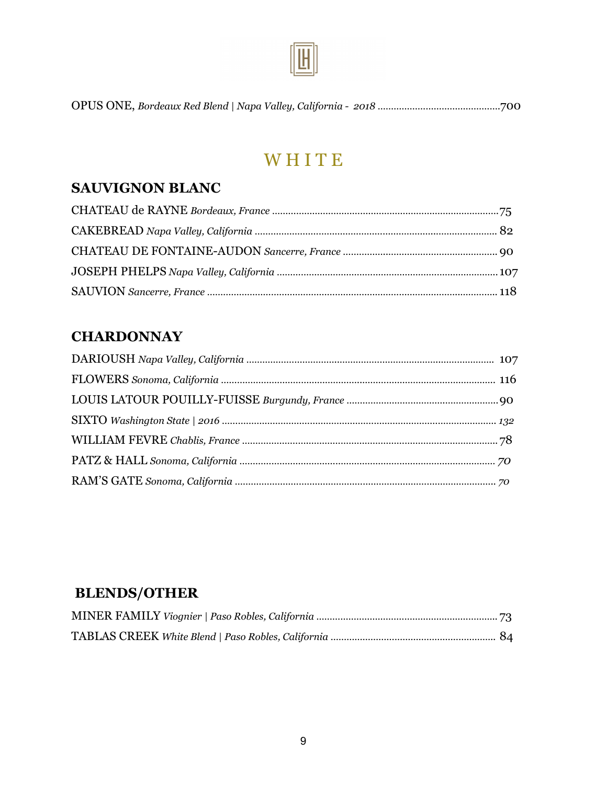

OPUS ONE, *Bordeaux Red Blend | Napa Valley, California - 2018 ……………………………………….*700

## **WHITE**

#### **SAUVIGNON BLANC**

### **CHARDONNAY**

### **BLENDS/OTHER**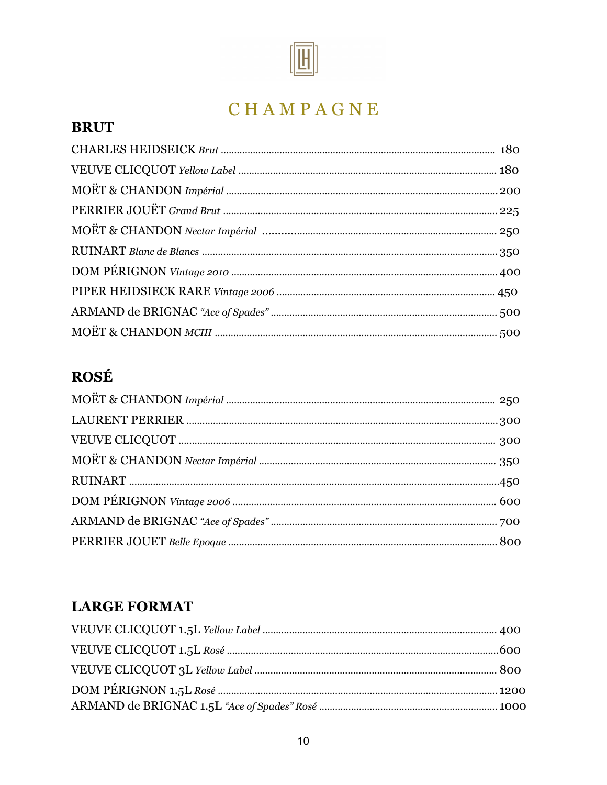

# C H A M P A G N E

### **BRUT**

## **ROSÉ**

### **LARGE FORMAT**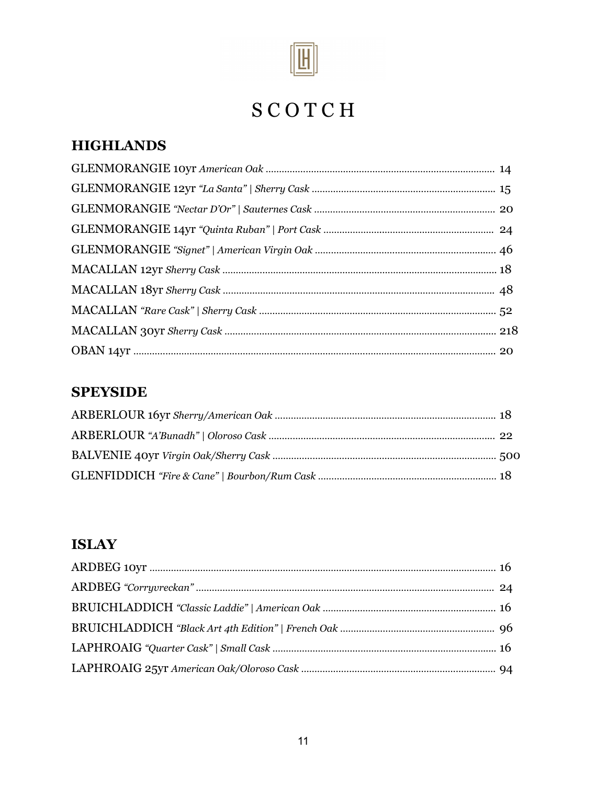

# S C O T C H

## **HIGHLANDS**

#### **SPEYSIDE**

## **ISLAY**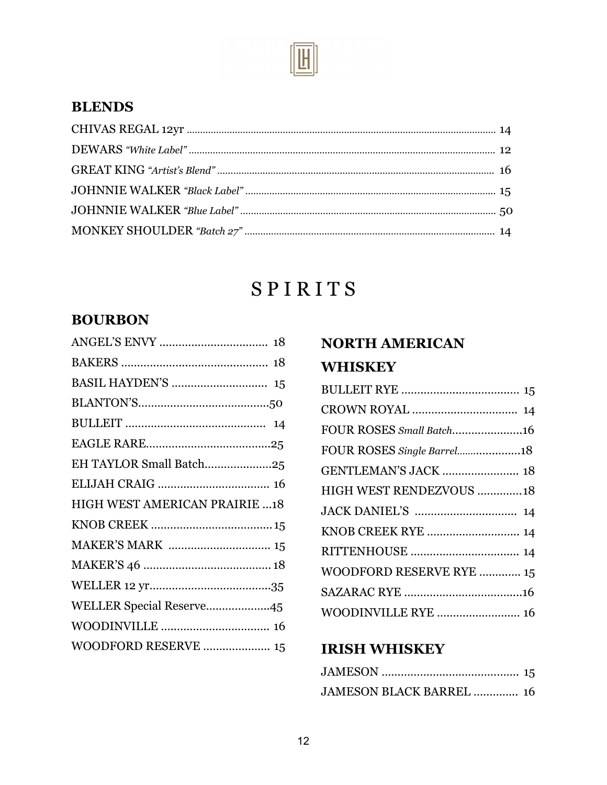

#### **BLENDS**

# S P I R I T S

### **BOURBON**

|                                      | 18 |
|--------------------------------------|----|
|                                      |    |
|                                      |    |
|                                      |    |
|                                      |    |
| EH TAYLOR Small Batch25              |    |
|                                      |    |
| <b>HIGH WEST AMERICAN PRAIRIE 18</b> |    |
|                                      |    |
|                                      |    |
|                                      |    |
|                                      |    |
| WELLER Special Reserve45             |    |
|                                      |    |
| WOODFORD RESERVE  15                 |    |
|                                      |    |

## **NORTH AMERICAN WHISKEY**

| FOUR ROSES Small Batch16    |  |
|-----------------------------|--|
| FOUR ROSES Single Barrel18  |  |
| <b>GENTLEMAN'S JACK  18</b> |  |
| HIGH WEST RENDEZVOUS  18    |  |
|                             |  |
| KNOB CREEK RYE  14          |  |
|                             |  |
| WOODFORD RESERVE RYE  15    |  |
|                             |  |
| WOODINVILLE RYE  16         |  |

#### **IRISH WHISKEY**

| <b>JAMESON BLACK BARREL  16</b> |  |
|---------------------------------|--|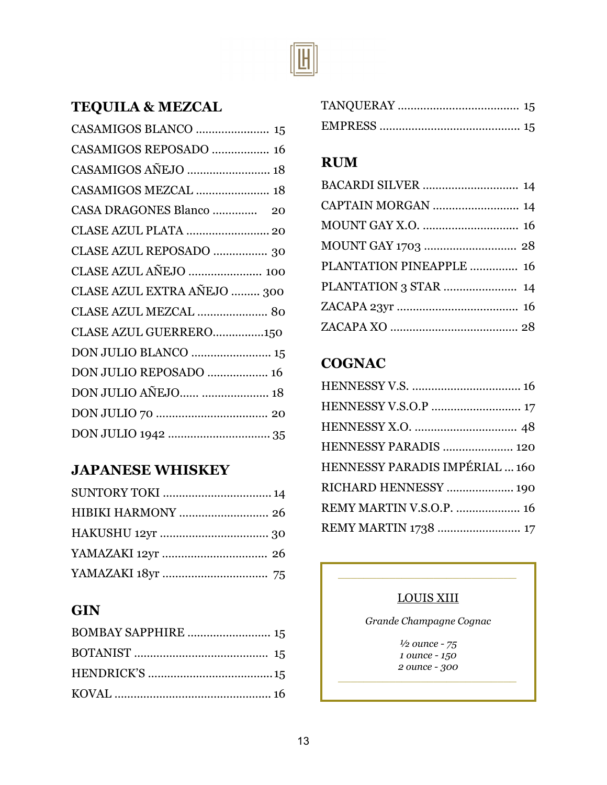

## **TEQUILA & MEZCAL**

| CASAMIGOS REPOSADO  16      |
|-----------------------------|
|                             |
| CASAMIGOS MEZCAL  18        |
| CASA DRAGONES Blanco  20    |
| CLASE AZUL PLATA  20        |
| CLASE AZUL REPOSADO  30     |
| CLASE AZUL AÑEJO  100       |
| CLASE AZUL EXTRA AÑEJO  300 |
| CLASE AZUL MEZCAL  80       |
| CLASE AZUL GUERRERO150      |
|                             |
| DON JULIO REPOSADO  16      |
| DON JULIO AÑEJO  18         |
|                             |
|                             |

### **JAPANESE WHISKEY**

| <b>SUNTORY TOKI  14</b>  |  |
|--------------------------|--|
| <b>HIBIKI HARMONY</b> 26 |  |
|                          |  |
|                          |  |
|                          |  |

### **GIN**

| BOMBAY SAPPHIRE  15 |  |
|---------------------|--|
|                     |  |
|                     |  |
|                     |  |

#### **RUM**

| <b>BACARDI SILVER</b> 14 |  |
|--------------------------|--|
| CAPTAIN MORGAN  14       |  |
|                          |  |
|                          |  |
| PLANTATION PINEAPPLE  16 |  |
| PLANTATION 3 STAR  14    |  |
|                          |  |
|                          |  |

## **COGNAC**

| HENNESSY V.S.O.P  17           |
|--------------------------------|
|                                |
| HENNESSY PARADIS  120          |
| HENNESSY PARADIS IMPÉRIAL  160 |
| RICHARD HENNESSY  190          |
| REMY MARTIN V.S.O.P.  16       |
| REMY MARTIN 1738  17           |
|                                |

#### LOUIS XIII

*\_\_\_\_\_\_\_\_\_\_\_\_\_\_\_\_\_\_\_\_\_\_\_\_\_\_\_\_*

*Grande Champagne Cognac*

*½ ounce - 75 1 ounce - 150 2 ounce - 300*

*\_\_\_\_\_\_\_\_\_\_\_\_\_\_\_\_\_\_\_\_\_\_\_\_\_\_\_\_*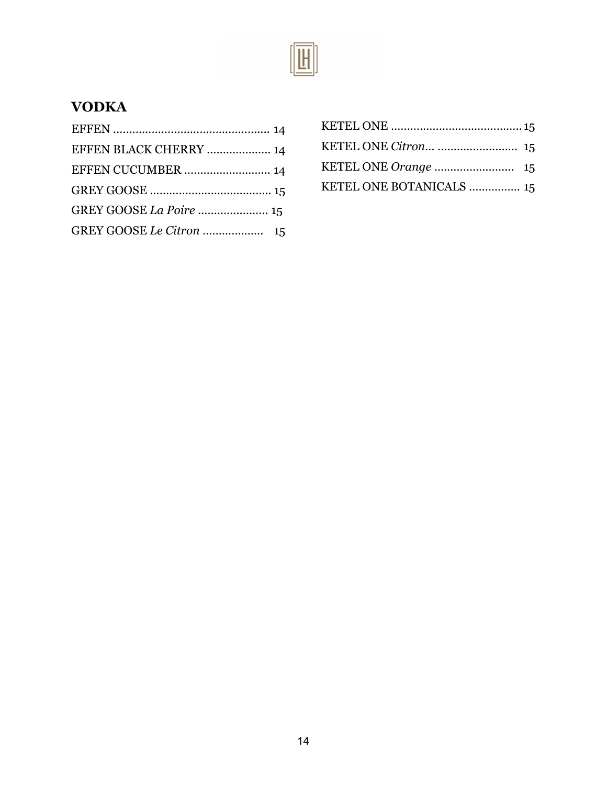

## **VODKA**

| EFFEN BLACK CHERRY  14 |  |
|------------------------|--|
| EFFEN CUCUMBER  14     |  |
|                        |  |
|                        |  |
|                        |  |

| KETEL ONE Citron  15     |  |
|--------------------------|--|
|                          |  |
| KETEL ONE BOTANICALS  15 |  |